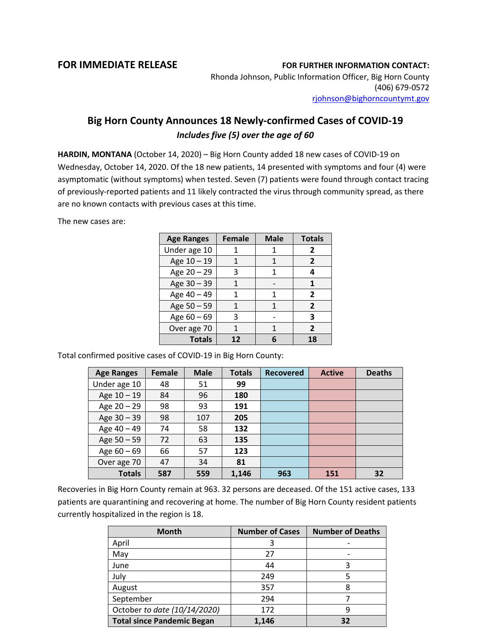## **FOR IMMEDIATE RELEASE FOR FURTHER INFORMATION CONTACT:**

Rhonda Johnson, Public Information Officer, Big Horn County (406) 679-0572 [rjohnson@bighorncountymt.gov](mailto:rjohnson@bighorncountymt.gov)

## **Big Horn County Announces 18 Newly-confirmed Cases of COVID-19** *Includes five (5) over the age of 60*

**HARDIN, MONTANA** (October 14, 2020) – Big Horn County added 18 new cases of COVID-19 on Wednesday, October 14, 2020. Of the 18 new patients, 14 presented with symptoms and four (4) were asymptomatic (without symptoms) when tested. Seven (7) patients were found through contact tracing of previously-reported patients and 11 likely contracted the virus through community spread, as there are no known contacts with previous cases at this time.

The new cases are:

| <b>Age Ranges</b> | <b>Female</b> | <b>Male</b> | <b>Totals</b>  |
|-------------------|---------------|-------------|----------------|
| Under age 10      |               |             | $\overline{2}$ |
| Age 10 - 19       |               | 1           | $\overline{2}$ |
| Age 20 - 29       | 3             | 1           | 4              |
| Age 30 - 39       |               |             |                |
| Age 40 - 49       |               | 1           | $\overline{2}$ |
| Age 50 - 59       |               | 1           | $\overline{2}$ |
| Age $60 - 69$     | 3             |             | 3              |
| Over age 70       |               | 1           | $\overline{2}$ |
| <b>Totals</b>     | 12            | 6           | 18             |

Total confirmed positive cases of COVID-19 in Big Horn County:

| <b>Age Ranges</b> | <b>Female</b> | <b>Male</b> | <b>Totals</b> | <b>Recovered</b> | <b>Active</b> | <b>Deaths</b> |
|-------------------|---------------|-------------|---------------|------------------|---------------|---------------|
| Under age 10      | 48            | 51          | 99            |                  |               |               |
| Age 10 - 19       | 84            | 96          | 180           |                  |               |               |
| Age $20 - 29$     | 98            | 93          | 191           |                  |               |               |
| Age 30 - 39       | 98            | 107         | 205           |                  |               |               |
| Age 40 - 49       | 74            | 58          | 132           |                  |               |               |
| Age 50 - 59       | 72            | 63          | 135           |                  |               |               |
| Age $60 - 69$     | 66            | 57          | 123           |                  |               |               |
| Over age 70       | 47            | 34          | 81            |                  |               |               |
| <b>Totals</b>     | 587           | 559         | 1,146         | 963              | 151           | 32            |

Recoveries in Big Horn County remain at 963. 32 persons are deceased. Of the 151 active cases, 133 patients are quarantining and recovering at home. The number of Big Horn County resident patients currently hospitalized in the region is 18.

| <b>Month</b>                      | <b>Number of Cases</b> | <b>Number of Deaths</b> |
|-----------------------------------|------------------------|-------------------------|
| April                             | 3                      |                         |
| May                               | 27                     |                         |
| June                              | 44                     | 3                       |
| July                              | 249                    |                         |
| August                            | 357                    | 8                       |
| September                         | 294                    |                         |
| October to date (10/14/2020)      | 172                    | q                       |
| <b>Total since Pandemic Began</b> | 1,146                  | 32                      |